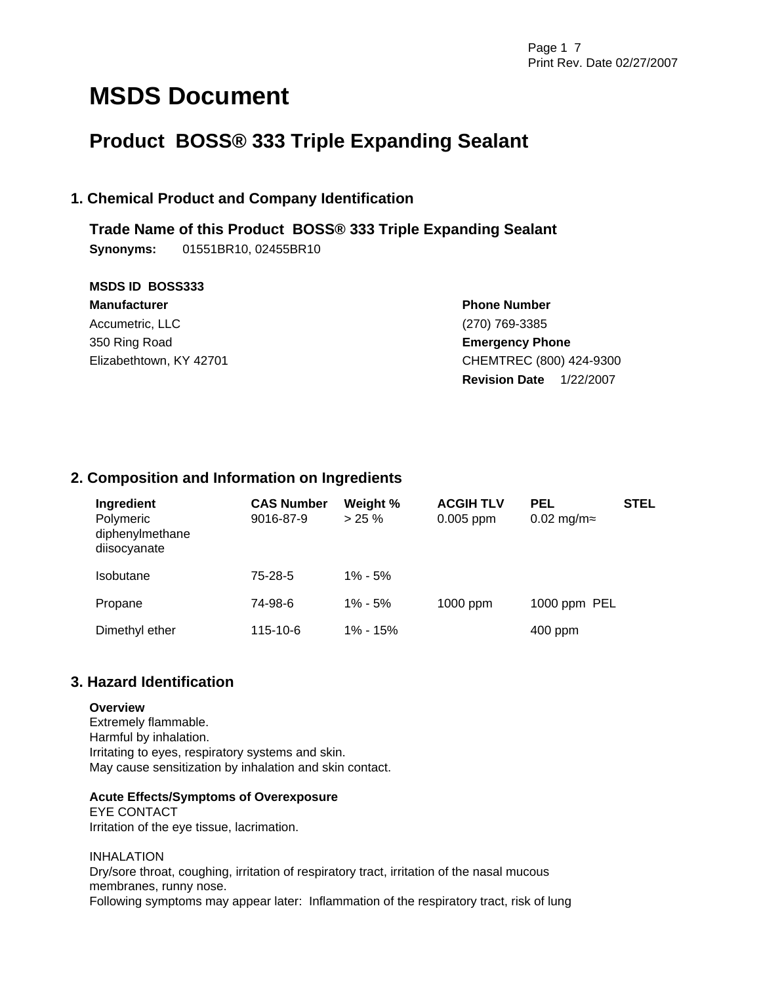# **MSDS Document**

## **Product BOSS® 333 Triple Expanding Sealant**

### **1. Chemical Product and Company Identification**

**Trade Name of this Product BOSS® 333 Triple Expanding Sealant Synonyms:** 01551BR10, 02455BR10

| <b>MSDS ID BOSS333</b>  |                                   |  |  |
|-------------------------|-----------------------------------|--|--|
| <b>Manufacturer</b>     | <b>Phone Number</b>               |  |  |
| Accumetric, LLC         | (270) 769-3385                    |  |  |
| 350 Ring Road           | <b>Emergency Phone</b>            |  |  |
| Elizabethtown, KY 42701 | CHEMTREC (800) 424-9300           |  |  |
|                         | <b>Revision Date</b><br>1/22/2007 |  |  |

### **2. Composition and Information on Ingredients**

| Ingredient<br>Polymeric<br>diphenylmethane<br>diisocyanate | <b>CAS Number</b><br>9016-87-9 | Weight %<br>$> 25 \%$ | <b>ACGIH TLV</b><br>$0.005$ ppm | <b>PEL</b><br>$0.02$ mg/m | <b>STEL</b> |
|------------------------------------------------------------|--------------------------------|-----------------------|---------------------------------|---------------------------|-------------|
| <b>Isobutane</b>                                           | 75-28-5                        | $1\% - 5\%$           |                                 |                           |             |
| Propane                                                    | 74-98-6                        | $1\% - 5\%$           | 1000 ppm                        | 1000 ppm PEL              |             |
| Dimethyl ether                                             | 115-10-6                       | 1% - 15%              |                                 | $400$ ppm                 |             |

### **3. Hazard Identification**

### **Overview**

Extremely flammable. Harmful by inhalation. Irritating to eyes, respiratory systems and skin. May cause sensitization by inhalation and skin contact.

### **Acute Effects/Symptoms of Overexposure**

EYE CONTACT Irritation of the eye tissue, lacrimation.

INHALATION Dry/sore throat, coughing, irritation of respiratory tract, irritation of the nasal mucous membranes, runny nose. Following symptoms may appear later: Inflammation of the respiratory tract, risk of lung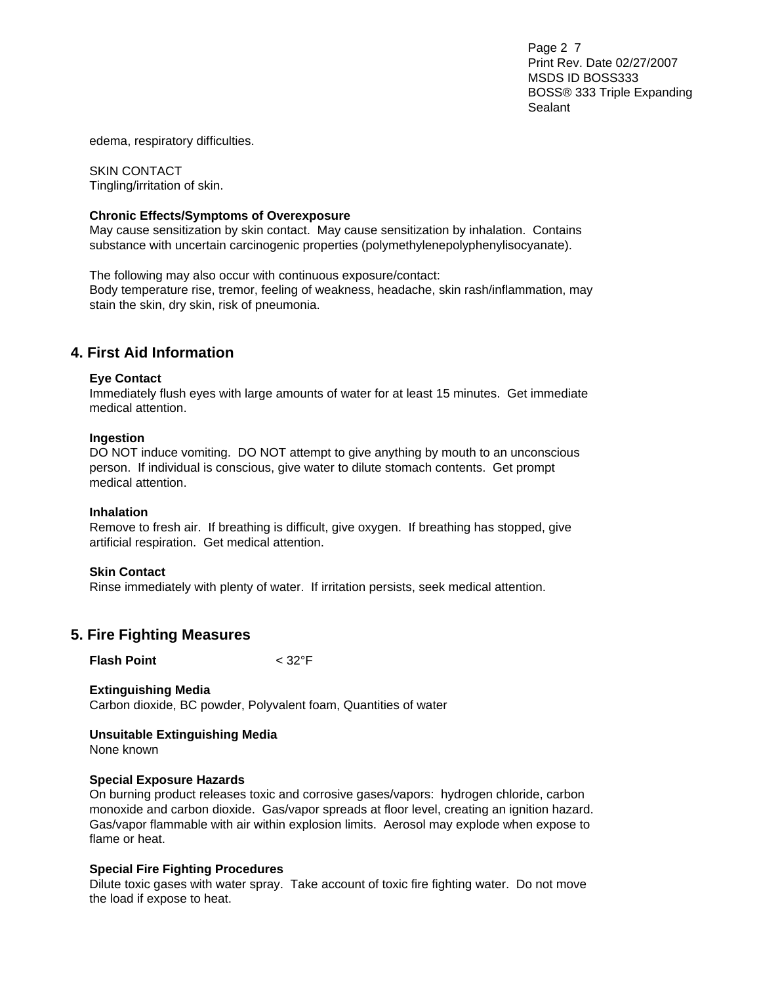Page 2 7 Print Rev. Date 02/27/2007 MSDS ID BOSS333 BOSS® 333 Triple Expanding Sealant

edema, respiratory difficulties.

SKIN CONTACT Tingling/irritation of skin.

### **Chronic Effects/Symptoms of Overexposure**

May cause sensitization by skin contact. May cause sensitization by inhalation. Contains substance with uncertain carcinogenic properties (polymethylenepolyphenylisocyanate).

The following may also occur with continuous exposure/contact: Body temperature rise, tremor, feeling of weakness, headache, skin rash/inflammation, may stain the skin, dry skin, risk of pneumonia.

### **4. First Aid Information**

#### **Eye Contact**

Immediately flush eyes with large amounts of water for at least 15 minutes. Get immediate medical attention.

#### **Ingestion**

DO NOT induce vomiting. DO NOT attempt to give anything by mouth to an unconscious person. If individual is conscious, give water to dilute stomach contents. Get prompt medical attention.

#### **Inhalation**

Remove to fresh air. If breathing is difficult, give oxygen. If breathing has stopped, give artificial respiration. Get medical attention.

#### **Skin Contact**

Rinse immediately with plenty of water. If irritation persists, seek medical attention.

### **5. Fire Fighting Measures**

**Flash Point** < 32°F

**Extinguishing Media**  Carbon dioxide, BC powder, Polyvalent foam, Quantities of water

**Unsuitable Extinguishing Media**  None known

### **Special Exposure Hazards**

On burning product releases toxic and corrosive gases/vapors: hydrogen chloride, carbon monoxide and carbon dioxide. Gas/vapor spreads at floor level, creating an ignition hazard. Gas/vapor flammable with air within explosion limits. Aerosol may explode when expose to flame or heat.

### **Special Fire Fighting Procedures**

Dilute toxic gases with water spray. Take account of toxic fire fighting water. Do not move the load if expose to heat.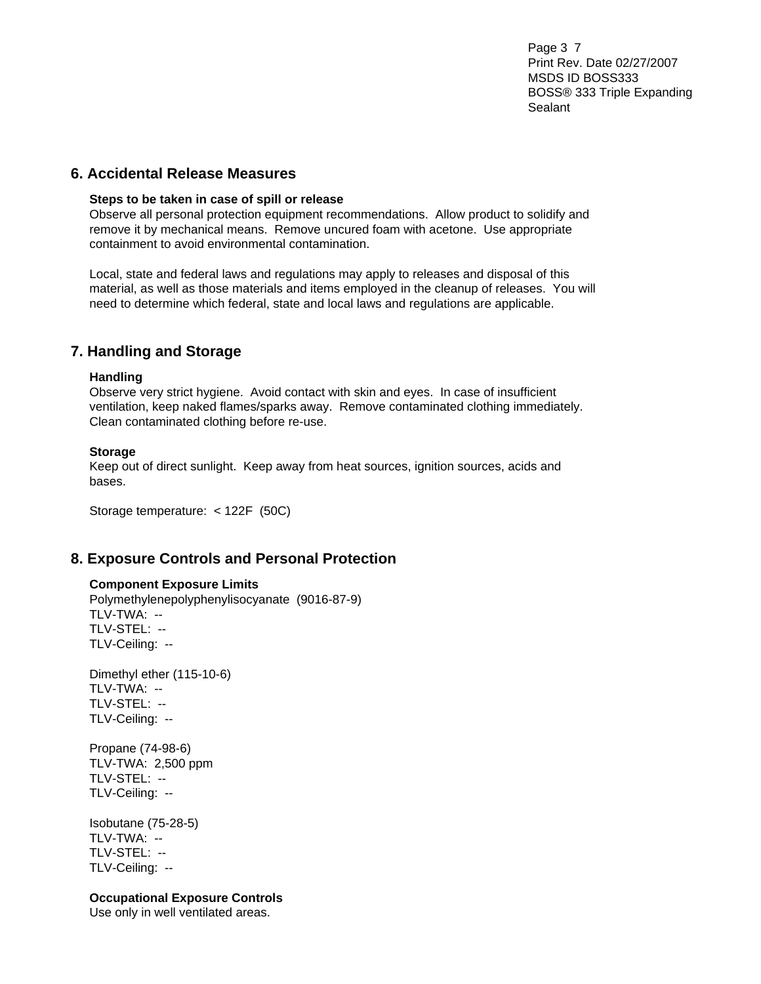Page 3 7 Print Rev. Date 02/27/2007 MSDS ID BOSS333 BOSS® 333 Triple Expanding Sealant

### **6. Accidental Release Measures**

#### **Steps to be taken in case of spill or release**

Observe all personal protection equipment recommendations. Allow product to solidify and remove it by mechanical means. Remove uncured foam with acetone. Use appropriate containment to avoid environmental contamination.

Local, state and federal laws and regulations may apply to releases and disposal of this material, as well as those materials and items employed in the cleanup of releases. You will need to determine which federal, state and local laws and regulations are applicable.

### **7. Handling and Storage**

#### **Handling**

Observe very strict hygiene. Avoid contact with skin and eyes. In case of insufficient ventilation, keep naked flames/sparks away. Remove contaminated clothing immediately. Clean contaminated clothing before re-use.

#### **Storage**

Keep out of direct sunlight. Keep away from heat sources, ignition sources, acids and bases.

Storage temperature: < 122F (50C)

### **8. Exposure Controls and Personal Protection**

### **Component Exposure Limits**

Polymethylenepolyphenylisocyanate (9016-87-9) TLV-TWA: -- TLV-STEL: -- TLV-Ceiling: --

Dimethyl ether (115-10-6) TLV-TWA: -- TLV-STEL: -- TLV-Ceiling: --

Propane (74-98-6) TLV-TWA: 2,500 ppm TLV-STEL: -- TLV-Ceiling: --

Isobutane (75-28-5) TLV-TWA: -- TLV-STEL: -- TLV-Ceiling: --

### **Occupational Exposure Controls**

Use only in well ventilated areas.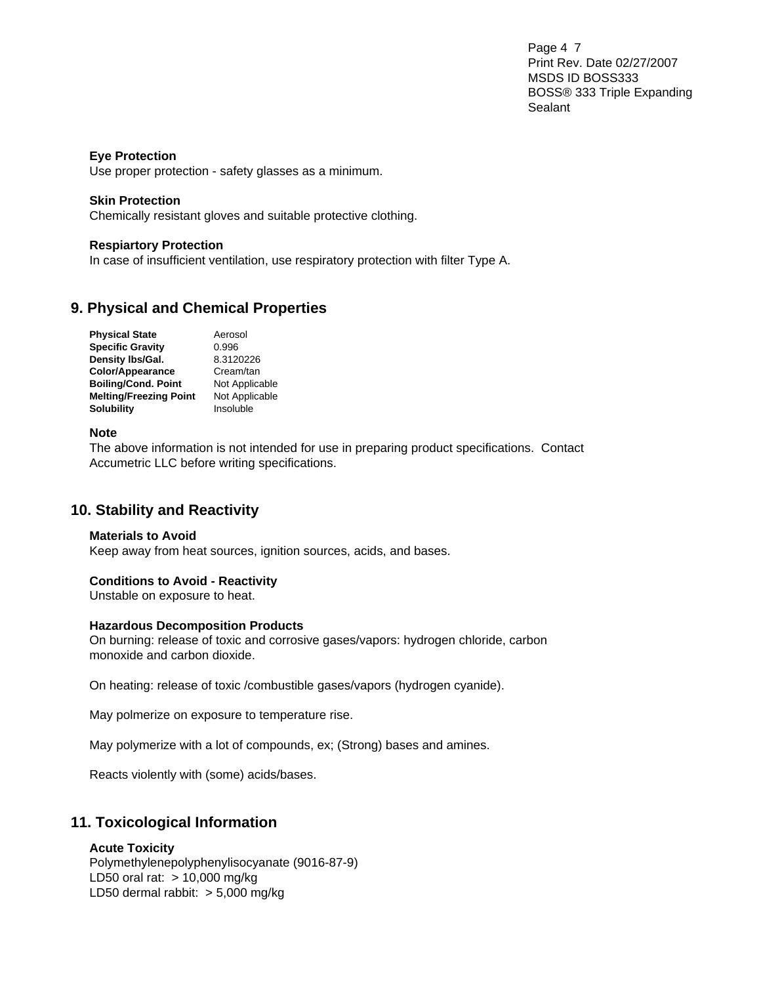Page 4 7 Print Rev. Date 02/27/2007 MSDS ID BOSS333 BOSS® 333 Triple Expanding Sealant

### **Eye Protection**

Use proper protection - safety glasses as a minimum.

### **Skin Protection**

Chemically resistant gloves and suitable protective clothing.

### **Respiartory Protection**

In case of insufficient ventilation, use respiratory protection with filter Type A.

### **9. Physical and Chemical Properties**

| <b>Physical State</b>         | Aerosol        |
|-------------------------------|----------------|
| <b>Specific Gravity</b>       | 0.996          |
| Density Ibs/Gal.              | 8.3120226      |
| <b>Color/Appearance</b>       | Cream/tan      |
| <b>Boiling/Cond. Point</b>    | Not Applicable |
| <b>Melting/Freezing Point</b> | Not Applicable |
| <b>Solubility</b>             | Insoluble      |

### **Note**

The above information is not intended for use in preparing product specifications. Contact Accumetric LLC before writing specifications.

### **10. Stability and Reactivity**

### **Materials to Avoid**

Keep away from heat sources, ignition sources, acids, and bases.

### **Conditions to Avoid - Reactivity**

Unstable on exposure to heat.

### **Hazardous Decomposition Products**

On burning: release of toxic and corrosive gases/vapors: hydrogen chloride, carbon monoxide and carbon dioxide.

On heating: release of toxic /combustible gases/vapors (hydrogen cyanide).

May polmerize on exposure to temperature rise.

May polymerize with a lot of compounds, ex; (Strong) bases and amines.

Reacts violently with (some) acids/bases.

### **11. Toxicological Information**

### **Acute Toxicity**

Polymethylenepolyphenylisocyanate (9016-87-9) LD50 oral rat: > 10,000 mg/kg LD50 dermal rabbit: > 5,000 mg/kg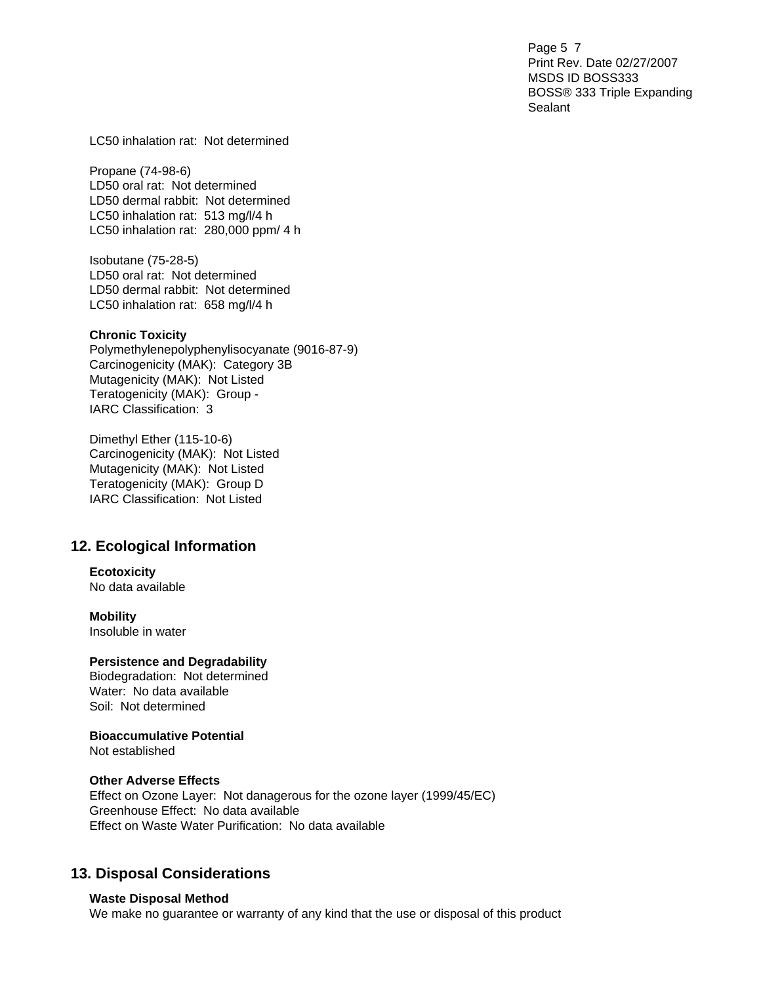Page 5 7 Print Rev. Date 02/27/2007 MSDS ID BOSS333 BOSS® 333 Triple Expanding Sealant

LC50 inhalation rat: Not determined

Propane (74-98-6) LD50 oral rat: Not determined LD50 dermal rabbit: Not determined LC50 inhalation rat: 513 mg/l/4 h LC50 inhalation rat: 280,000 ppm/ 4 h

Isobutane (75-28-5) LD50 oral rat: Not determined LD50 dermal rabbit: Not determined LC50 inhalation rat: 658 mg/l/4 h

#### **Chronic Toxicity**

Polymethylenepolyphenylisocyanate (9016-87-9) Carcinogenicity (MAK): Category 3B Mutagenicity (MAK): Not Listed Teratogenicity (MAK): Group - IARC Classification: 3

Dimethyl Ether (115-10-6) Carcinogenicity (MAK): Not Listed Mutagenicity (MAK): Not Listed Teratogenicity (MAK): Group D IARC Classification: Not Listed

### **12. Ecological Information**

### **Ecotoxicity**

No data available

### **Mobility**

Insoluble in water

#### **Persistence and Degradability**

Biodegradation: Not determined Water: No data available Soil: Not determined

### **Bioaccumulative Potential**

Not established

### **Other Adverse Effects**

Effect on Ozone Layer: Not danagerous for the ozone layer (1999/45/EC) Greenhouse Effect: No data available Effect on Waste Water Purification: No data available

### **13. Disposal Considerations**

### **Waste Disposal Method**

We make no guarantee or warranty of any kind that the use or disposal of this product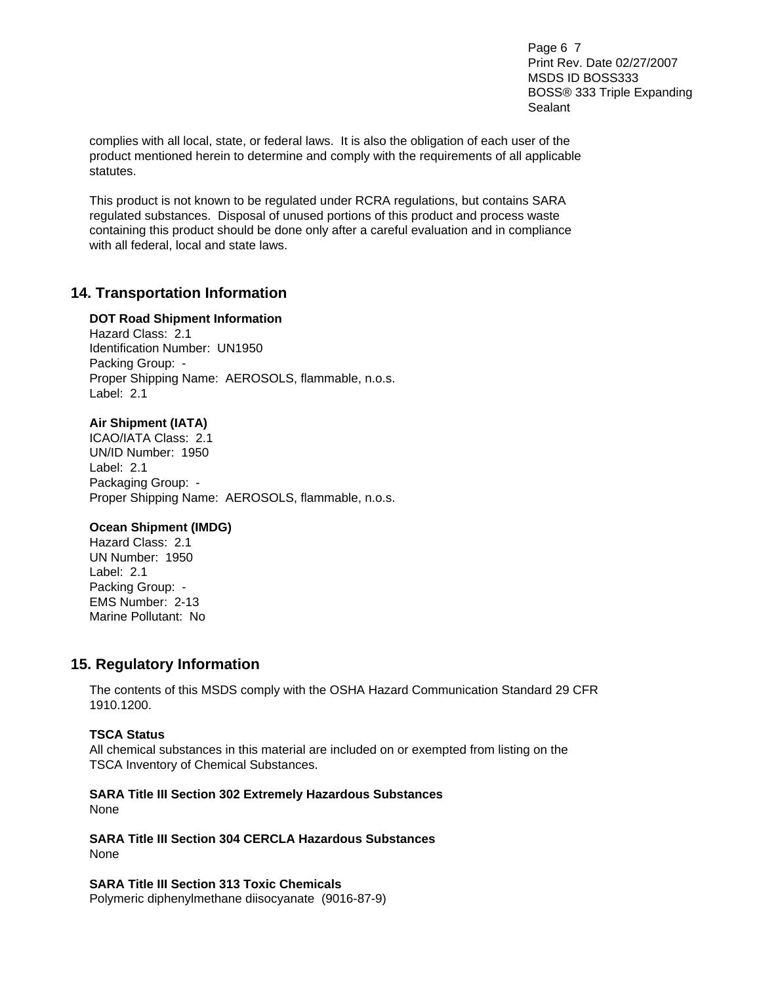Page 6 7 Print Rev. Date 02/27/2007 MSDS ID BOSS333 BOSS® 333 Triple Expanding Sealant

complies with all local, state, or federal laws. It is also the obligation of each user of the product mentioned herein to determine and comply with the requirements of all applicable statutes.

This product is not known to be regulated under RCRA regulations, but contains SARA regulated substances. Disposal of unused portions of this product and process waste containing this product should be done only after a careful evaluation and in compliance with all federal, local and state laws.

### **14. Transportation Information**

### **DOT Road Shipment Information**

Hazard Class: 2.1 Identification Number: UN1950 Packing Group: - Proper Shipping Name: AEROSOLS, flammable, n.o.s. Label: 2.1

### **Air Shipment (IATA)**

ICAO/IATA Class: 2.1 UN/ID Number: 1950 Label: 2.1 Packaging Group: - Proper Shipping Name: AEROSOLS, flammable, n.o.s.

### **Ocean Shipment (IMDG)**

Hazard Class: 2.1 UN Number: 1950 Label: 2.1 Packing Group: - EMS Number: 2-13 Marine Pollutant: No

### **15. Regulatory Information**

The contents of this MSDS comply with the OSHA Hazard Communication Standard 29 CFR 1910.1200.

### **TSCA Status**

All chemical substances in this material are included on or exempted from listing on the TSCA Inventory of Chemical Substances.

### **SARA Title III Section 302 Extremely Hazardous Substances**  None

**SARA Title III Section 304 CERCLA Hazardous Substances**  None

**SARA Title III Section 313 Toxic Chemicals**  Polymeric diphenylmethane diisocyanate (9016-87-9)